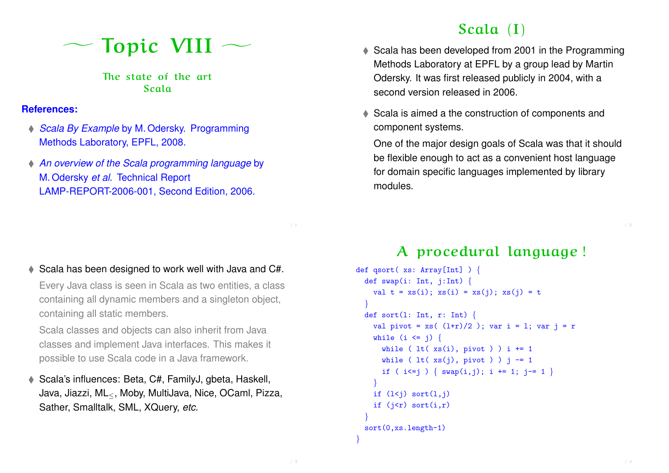gTopic VIII

The state of the art Scala

#### **References:**

- ♦ Scala By Example by M. Odersky. Programming Methods Laboratory, EPFL, 2008.
- An overview of the Scala programming language by M. Odersky et al. Technical Report LAMP-REPORT-2006-001, Second Edition, 2006.

#### ♦ Scala has been designed to work well with Java and C#.

Every Java class is seen in Scala as two entities, <sup>a</sup> class containing all dynamic members and <sup>a</sup> singleton object, containing all static members.

Scala classes and objects can also inherit from Java classes and implement Java interfaces. This makes it possible to use Scala code in <sup>a</sup> Java framework.

◆ Scala's influences: Beta, C#, FamilyJ, gbeta, Haskell, Java, Jiazzi, ML≤, Moby, MultiJava, Nice, OCaml, Pizza, Sather, Smalltalk, SML, XQuery, etc.

# Scala (I)

- ♦ Scala has been developed from 2001 in the Programming Methods Laboratory at EPFL by <sup>a</sup> group lead by Martin Odersky. It was first released publicly in 2004, with <sup>a</sup> second version released in 2006.
- ♦ Scala is aimed a the construction of components and component systems.

One of the major design goals of Scala was that it should be flexible enough to act as <sup>a</sup> convenient host language for domain specific languages implemented by library modules.

A procedural language !

```
def qsort( xs: Array[Int] ) {
  def swap(i: Int, j:Int) {
    val t = xs(i); xs(i) = xs(j); xs(j) = t}
  def sort(1: Int, r: Int) {
    val pivot = xs( (1+r)/2); var i = 1; var j = r
    while (i \le j) {
      while ( lt ( lt( xs(i), pivot ) i += 1
      while ( lt( xt( xs(j), pivot) ) j = 1if ( i \le j ) \{ \text{swap}(i,j); i \ne j\} += 1; j = 1 }
    }
    if (l < j) sort(l, j)if (j < r) sort(i,r)}
  sort(0,xs.length-1)
```
}

/ <sup>1</sup>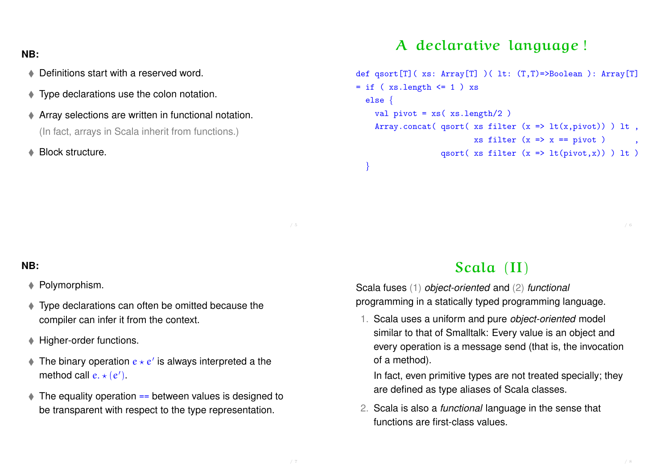#### **NB:**

- ◆ Definitions start with a reserved word.
- Type declarations use the colon notation.
- Array selections are written in functional notation. (In fact, arrays in Scala inherit from functions.)
- **A** Block structure.

## A declarative language !

```
def qsort[T]( xs: Array[T] )( lt: (T,T)=>Boolean ): Array[T]
= if ( xs.length <= 1 ) xs
  else {
    val pivot = xs(xs.length/2)Array.concat( qsort( xs filter (x \Rightarrow lt(x,pivot)) ) lt,
                           xs filter (x \Rightarrow x == pivot)qsort( xs filter (x \Rightarrow lt(pivot,x)) ) lt)
```
#### **NB:**

#### ◆ Polymorphism.

- Type declarations can often be omitted because the compiler can infer it from the context.
- ♦ Higher-order functions.
- $\bullet$  The binary operation  $e \star e'$  is always interpreted a the method call  $e \star (e')$ .
- $\triangle$  The equality operation  $==$  between values is designed to be transparent with respect to the type representation.

## Scala (II)

Scala fuses (1) object-oriented and (2) functional programming in <sup>a</sup> statically typed programming language.

1. Scala uses <sup>a</sup> uniform and pure object-oriented model similar to that of Smalltalk: Every value is an object and every operation is <sup>a</sup> message send (that is, the invocation of <sup>a</sup> method).

In fact, even primitive types are not treated specially; they are defined as type aliases of Scala classes.

2. Scala is also <sup>a</sup> functional language in the sense that functions are first-class values.

/ <sup>5</sup>

}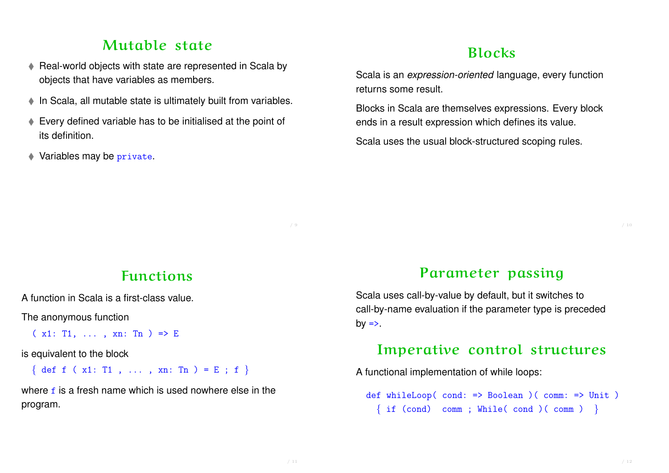## Mutable state

- ♦ Real-world objects with state are represented in Scala by objects that have variables as members.
- ♦ In Scala, all mutable state is ultimately built from variables.
- Every defined variable has to be initialised at the point of its definition.
- Variables may be private.

# Blocks

Scala is an expression-oriented language, every function returns some result.

Blocks in Scala are themselves expressions. Every block ends in <sup>a</sup> result expression which defines its value.

Scala uses the usual block-structured scoping rules.

## Functions

A function in Scala is a first-class value.

The anonymous function

 $(x1: T1, \ldots, xn: Tn) \Rightarrow E$ 

is equivalent to the block

{ def f ( x1: T1 , ... , xn: Tn ) = E ; f }

where f is a fresh name which is used nowhere else in the program.

### Parameter passing

Scala uses call-by-value by default, but it switches to call-by-name evaluation if the parameter type is preceded  $by \Rightarrow$ .

## Imperative control structures

A functional implementation of while loops:

def whileLoop( cond: => Boolean )( comm: => Unit )  $\{ if (cond) comm ; While (cond) (comm ) \}$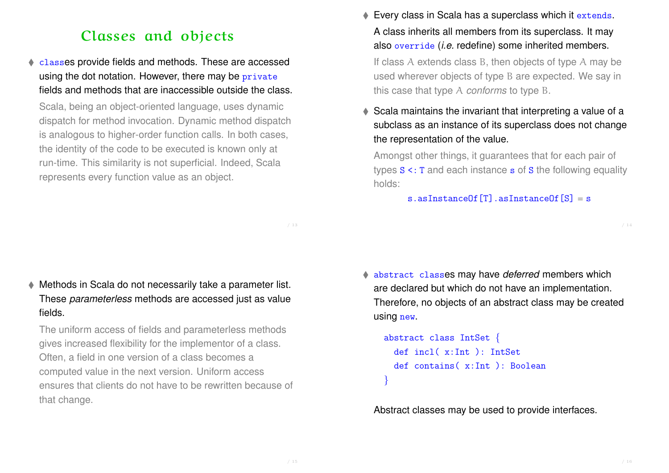## Classes and objects

 classes provide fields and methods. These are accessed using the dot notation. However, there may be private fields and methods that are inaccessible outside the class.

Scala, being an object-oriented language, uses dynamic dispatch for method invocation. Dynamic method dispatch is analogous to higher-order function calls. In both cases, the identity of the code to be executed is known only at run-time. This similarity is not superficial. Indeed, Scala represents every function value as an object.

Every class in Scala has a superclass which it extends. A class inherits all members from its superclass. It may also override (i.e. redefine) some inherited members.

If class A extends class B, then objects of type A may be used wherever objects of type B are expected. We say in this case that type A conforms to type B.

♦ Scala maintains the invariant that interpreting a value of a subclass as an instance of its superclass does not change the representation of the value.

Amongst other things, it guarantees that for each pair of types <sup>S</sup> <: <sup>T</sup> and each instance <sup>s</sup> of <sup>S</sup> the following equality holds:

s.asInstanceOf $[T]$ .asInstanceOf $[S] = s$ 

/ <sup>13</sup>

 Methods in Scala do not necessarily take <sup>a</sup> parameter list. These parameterless methods are accessed just as value fields.

The uniform access of fields and parameterless methods gives increased flexibility for the implementor of <sup>a</sup> class. Often, <sup>a</sup> field in one version of <sup>a</sup> class becomes <sup>a</sup> computed value in the next version. Uniform access ensures that clients do not have to be rewritten because of that change.

 $\triangle$  abstract classes may have deferred members which are declared but which do not have an implementation. Therefore, no objects of an abstract class may be created using new.

```
abstract class IntSet {
 def incl( x:Int ): IntSet
 def contains( x:Int ): Boolean
}
```
Abstract classes may be used to provide interfaces.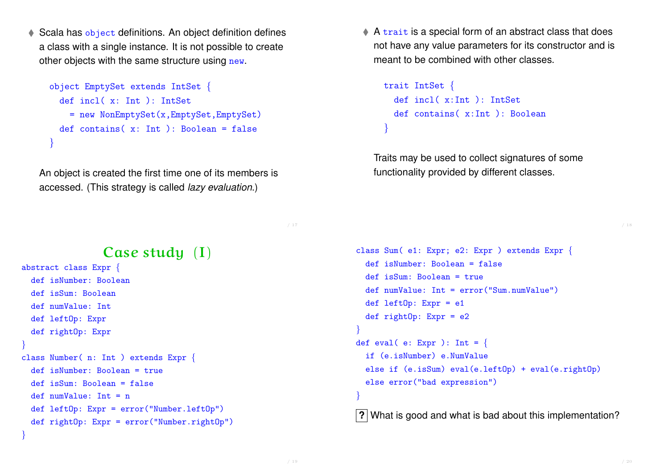Scala has object definitions. An object definition defines <sup>a</sup> class with <sup>a</sup> single instance. It is not possible to create other objects with the same structure using new.

```
object EmptySet extends IntSet {
  def incl( x: Int ): IntSet
    = new NonEmptySet(x,EmptySet,EmptySet)
 def contains(x: Int.): Boolean = false
}
```
An object is created the first time one of its members is accessed. (This strategy is called lazy evaluation.)

 $\triangle$  A trait is a special form of an abstract class that does not have any value parameters for its constructor and is meant to be combined with other classes.

```
trait IntSet {
 def incl( x:Int ): IntSet
 def contains( x:Int ): Boolean
}
```
Traits may be used to collect signatures of some functionality provided by different classes.

/ <sup>17</sup>

# Case study (I)

```
abstract class Expr {
  def isNumber: Boolean
 def isSum: Boolean
  def numValue: Int
 def leftOp: Expr
 def rightOp: Expr
}
class Number( n: Int ) extends Expr {
  def isNumber: Boolean = true
 def isSum: Boolean = false
 def numValue: Int = n
 def leftOp: Expr = error("Number.leftOp")
 def rightOp: Expr = error("Number.rightOp")
}
```

```
class Sum( e1: Expr; e2: Expr ) extends Expr {
  def isNumber: Boolean = false
  def isSum: Boolean = true
  def numValue: Int = error("Sum.numValue")
  def leftOp: Expr = e1
  def rightOp: Expr = e2
}
def eval( e: Expr ): Int = {
  if (e.isNumber) e.NumValue
  else if (e.isSum) eval(e.leftOp) + eval(e.rightOp)
  else error("bad expression")
}
```
**?** What is good and what is bad about this implementation?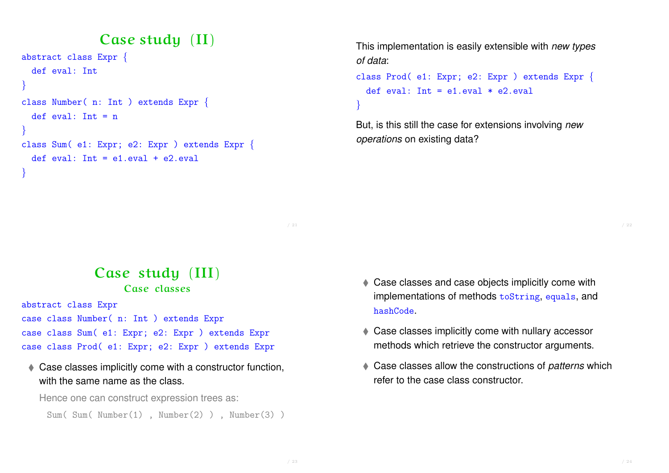## Case study (II)

```
abstract class Expr {
 def eval: Int
}
class Number( n: Int ) extends Expr {
  def eval: Int = n}
class Sum( e1: Expr; e2: Expr ) extends Expr {
 def eval: Int = e1.eval + e2.eval
}
```
This implementation is easily extensible with new types of data:

```
class Prod( e1: Expr; e2: Expr ) extends Expr {
  def eval: Int = e1.eval * e2.eval
}
```
But, is this still the case for extensions involving new operations on existing data?

- Case study (III) Case classes
- abstract class Expr case class Number( n: Int ) extends Expr case class Sum( e1: Expr; e2: Expr ) extends Expr case class Prod( e1: Expr; e2: Expr ) extends Expr
- ♦ Case classes implicitly come with a constructor function, with the same name as the class.

Hence one can construct expression trees as:

```
Sum( Sum( Number(1) , Number(2) ) , Number(3) )
```
- ♦ Case classes and case objects implicitly come with implementations of methods toString, equals, and hashCode.
- ♦ Case classes implicitly come with nullary accessor methods which retrieve the constructor arguments.
- Case classes allow the constructions of *patterns* which refer to the case class constructor.

/ <sup>21</sup>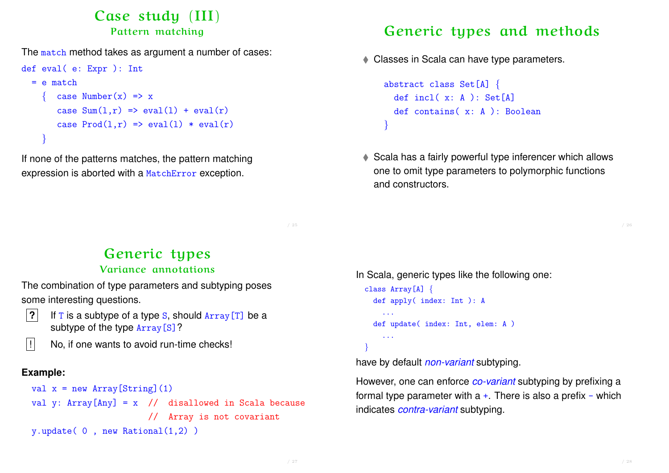### Case study (III) Pattern matching

The match method takes as argument a number of cases:

```
def eval( e: Expr ): Int
   = e match
        \text{case Number}(x) \Rightarrow xcase Sum(1,r) \Rightarrow eval(1) + eval(r)case Prod(1,r) \Rightarrow eval(1) * eval(r)}
```
If none of the patterns matches, the pattern matching expression is aborted with <sup>a</sup> MatchError exception.

# Generic types and methods

Classes in Scala can have type parameters.

```
abstract class Set[A] {
 def incl( x: A ): Set[A]
 def contains( x: A ): Boolean
}
```
♦ Scala has a fairly powerful type inferencer which allows one to omit type parameters to polymorphic functions and constructors.

Generic types

#### Variance annotations

The combination of type parameters and subtyping poses some interesting questions.

- 
- **?** If <sup>T</sup> is <sup>a</sup> subtype of <sup>a</sup> type <sup>S</sup>, should Array[T] be <sup>a</sup> subtype of the type Array [S]?

 $\vert\vert\vert$  No, if one wants to avoid run-time checks!

#### **Example:**

```
val x = new Array[String](1)val y: Array[Any] = x // disallowed in Scala because
                      // Array is not covariant
y.update( 0 , new Rational(1,2) )
```

```
In Scala, generic types like the following one:
 class Array[A] {
    def apply( index: Int ): A
       ...
    def update( index: Int, elem: A )
      ...
  }
```
have by default non-variant subtyping.

However, one can enforce *co-variant* subtyping by prefixing a formal type parameter with  $a +$ . There is also a prefix - which indicates *contra-variant* subtyping.

/ <sup>25</sup>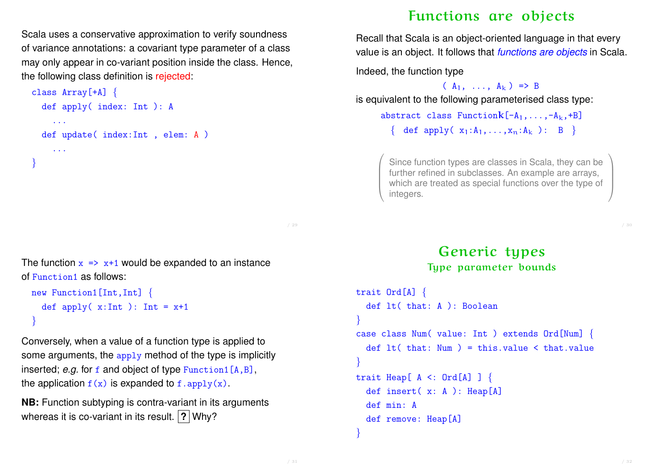Scala uses <sup>a</sup> conservative approximation to verify soundness of variance annotations: <sup>a</sup> covariant type parameter of <sup>a</sup> class may only appear in co-variant position inside the class. Hence, the following class definition is rejected:

```
class Array[+A] {
  def apply( index: Int ): A
     ...
  def update( index:Int , elem: A )
    ...
}
```
The function  $x \Rightarrow x+1$  would be expanded to an instance of Function1 as follows:

```
new Function1[Int,Int] {
  def apply(x:Int): Int = x+1}
```
Conversely, when <sup>a</sup> value of <sup>a</sup> function type is applied to some arguments, the apply method of the type is implicitly inserted; e.g. for  $f$  and object of type  $Function1[A,B],$ the application  $f(x)$  is expanded to f. apply(x).

**NB:** Function subtyping is contra-variant in its arguments whereas it is co-variant in its result. **?** Why?

# Functions are objects

Recall that Scala is an object-oriented language in that every value is an object. It follows that *functions are objects* in Scala.

Indeed, the function type

 $(A_1, \ldots, A_k) \Rightarrow B$ 

is equivalent to the following parameterised class type:

abstract class Function $k[-A_1,\ldots,-A_k,+B]$ { def apply( $x_1:A_1,...,x_n:A_k$ ): B }

Since function types are classes in Scala, they can be further refined in subclasses. An example are arrays, which are treated as special functions over the type of integers.

#### Generic types Type parameter bounds

```
trait Ord[A] {
  def lt( that: A ): Boolean
}
case class Num( value: Int ) extends Ord[Num] {
  def lt (that: Num ) = this.value < that.value
}
trait Heap[ A \leq: Ord[A] ] {
  def insert( x: A ): Heap[A]
  def min: A
  def remove: Heap[A]
```
}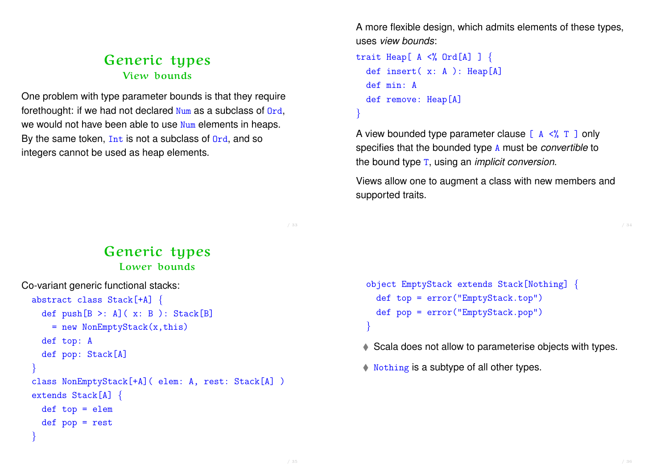### Generic types View bounds

One problem with type parameter bounds is that they require forethought: if we had not declared Num as <sup>a</sup> subclass of Ord, we would not have been able to use Num elements in heaps. By the same token,  $Int$  is not a subclass of  $Ord$ , and so integers cannot be used as heap elements.

A more flexible design, which admits elements of these types, uses view bounds:

```
trait Heap[ A \leq% Ord[A] ] {
  def insert( x: A ): Heap[A]
  def min: A
  def remove: Heap[A]
}
```
A view bounded type parameter clause  $[A \prec^{\circ} A]$  only specifies that the bounded type <sup>A</sup> must be convertible to the bound type <sup>T</sup>, using an implicit conversion.

Views allow one to augment <sup>a</sup> class with new members and supported traits.

### Generic types Lower bounds

```
Co-variant generic functional stacks:
 abstract class Stack[+A] {
    def push[B >: A] (x: B): Stack[B]= new NonEmptyStack(x,this)
    def top: A
    def pop: Stack[A]
  }
 class NonEmptyStack[+A]( elem: A, rest: Stack[A] )
 extends Stack[A] {
    def top = elem
    def pop = rest
  }
```

```
object EmptyStack extends Stack[Nothing] {
 def top = error("EmptyStack.top")
 def pop = error("EmptyStack.pop")
}
```
Scala does not allow to parameterise objects with types.

 $\blacklozenge$  Nothing is a subtype of all other types.

/ <sup>33</sup>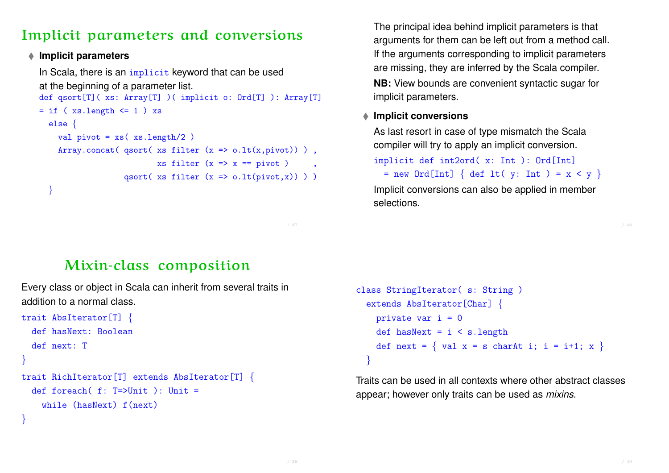# Implicit parameters and conversions

#### **Implicit parameters**

In Scala, there is an *implicit* keyword that can be used at the beginning of <sup>a</sup> parameter list. def qsort[T]( xs: Array[T] )( implicit o: Ord[T] ): Array[T] = if ( xs.length <= <sup>1</sup> ) xs else { val pivot =  $xs$  ( $xs.length/2$ ) Array.concat( qsort( xs filter  $(x \Rightarrow o.lt(x, pivot))$  ), xs filter  $(x \Rightarrow x == pivot)$ , qsort( xs filter  $(x \Rightarrow o.lt(pivot,x))$ )) }

The principal idea behind implicit parameters is that arguments for them can be left out from <sup>a</sup> method call. If the arguments corresponding to implicit parameters are missing, they are inferred by the Scala compiler.

**NB:** View bounds are convenient syntactic sugar for implicit parameters.

#### **Implicit conversions**

As last resort in case of type mismatch the Scala compiler will try to apply an implicit conversion. implicit def int2ord( x: Int ): Ord[Int] = new Ord[Int] { def lt( y: Int ) <sup>=</sup> <sup>x</sup> <sup>&</sup>lt; <sup>y</sup> }

Implicit conversions can also be applied in member selections.

Mixin-class composition

Every class or object in Scala can inherit from several traits in addition to a normal class.

```
trait AbsIterator[T] {
  def hasNext: Boolean
  def next: T
}
trait RichIterator[T] extends AbsIterator[T] {
  def foreach( f: T=>Unit ): Unit =
    while (hasNext) f(next)
```
}

```
class StringIterator( s: String )
 extends AbsIterator[Char] {
   private var i = 0def hasNext = i < s.lengthdef next = { val x = s charAt i; i = i+1; x }
  }
```
Traits can be used in all contexts where other abstract classes appear; however only traits can be used as mixins.

/ <sup>37</sup>